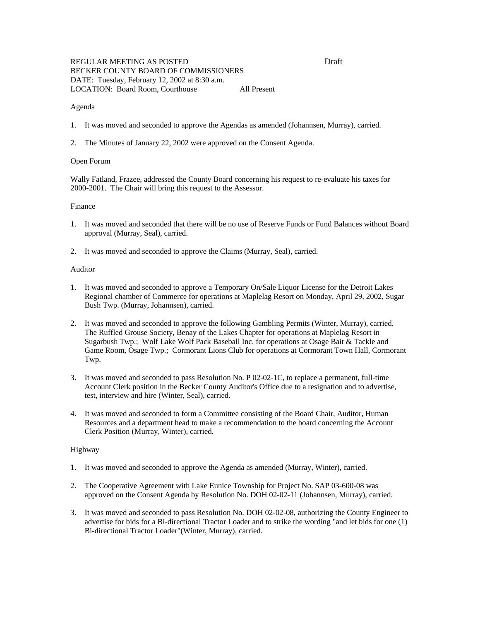# REGULAR MEETING AS POSTED DRAFT DRAFT DRAFT DRAFT BECKER COUNTY BOARD OF COMMISSIONERS DATE: Tuesday, February 12, 2002 at 8:30 a.m. LOCATION: Board Room, Courthouse All Present

#### Agenda

- 1. It was moved and seconded to approve the Agendas as amended (Johannsen, Murray), carried.
- 2. The Minutes of January 22, 2002 were approved on the Consent Agenda.

### Open Forum

Wally Fatland, Frazee, addressed the County Board concerning his request to re-evaluate his taxes for 2000-2001. The Chair will bring this request to the Assessor.

# Finance

- 1. It was moved and seconded that there will be no use of Reserve Funds or Fund Balances without Board approval (Murray, Seal), carried.
- 2. It was moved and seconded to approve the Claims (Murray, Seal), carried.

### Auditor

- 1. It was moved and seconded to approve a Temporary On/Sale Liquor License for the Detroit Lakes Regional chamber of Commerce for operations at Maplelag Resort on Monday, April 29, 2002, Sugar Bush Twp. (Murray, Johannsen), carried.
- 2. It was moved and seconded to approve the following Gambling Permits (Winter, Murray), carried. The Ruffled Grouse Society, Benay of the Lakes Chapter for operations at Maplelag Resort in Sugarbush Twp.; Wolf Lake Wolf Pack Baseball Inc. for operations at Osage Bait & Tackle and Game Room, Osage Twp.; Cormorant Lions Club for operations at Cormorant Town Hall, Cormorant Twp.
- 3. It was moved and seconded to pass Resolution No. P 02-02-1C, to replace a permanent, full-time Account Clerk position in the Becker County Auditor's Office due to a resignation and to advertise, test, interview and hire (Winter, Seal), carried.
- 4. It was moved and seconded to form a Committee consisting of the Board Chair, Auditor, Human Resources and a department head to make a recommendation to the board concerning the Account Clerk Position (Murray, Winter), carried.

# Highway

- 1. It was moved and seconded to approve the Agenda as amended (Murray, Winter), carried.
- 2. The Cooperative Agreement with Lake Eunice Township for Project No. SAP 03-600-08 was approved on the Consent Agenda by Resolution No. DOH 02-02-11 (Johannsen, Murray), carried.
- 3. It was moved and seconded to pass Resolution No. DOH 02-02-08, authorizing the County Engineer to advertise for bids for a Bi-directional Tractor Loader and to strike the wording "and let bids for one (1) Bi-directional Tractor Loader"(Winter, Murray), carried.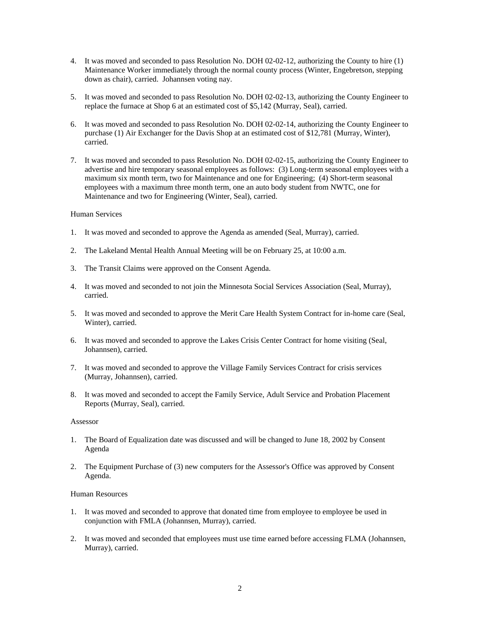- 4. It was moved and seconded to pass Resolution No. DOH 02-02-12, authorizing the County to hire (1) Maintenance Worker immediately through the normal county process (Winter, Engebretson, stepping down as chair), carried. Johannsen voting nay.
- 5. It was moved and seconded to pass Resolution No. DOH 02-02-13, authorizing the County Engineer to replace the furnace at Shop 6 at an estimated cost of \$5,142 (Murray, Seal), carried.
- 6. It was moved and seconded to pass Resolution No. DOH 02-02-14, authorizing the County Engineer to purchase (1) Air Exchanger for the Davis Shop at an estimated cost of \$12,781 (Murray, Winter), carried.
- 7. It was moved and seconded to pass Resolution No. DOH 02-02-15, authorizing the County Engineer to advertise and hire temporary seasonal employees as follows: (3) Long-term seasonal employees with a maximum six month term, two for Maintenance and one for Engineering; (4) Short-term seasonal employees with a maximum three month term, one an auto body student from NWTC, one for Maintenance and two for Engineering (Winter, Seal), carried.

### Human Services

- 1. It was moved and seconded to approve the Agenda as amended (Seal, Murray), carried.
- 2. The Lakeland Mental Health Annual Meeting will be on February 25, at 10:00 a.m.
- 3. The Transit Claims were approved on the Consent Agenda.
- 4. It was moved and seconded to not join the Minnesota Social Services Association (Seal, Murray), carried.
- 5. It was moved and seconded to approve the Merit Care Health System Contract for in-home care (Seal, Winter), carried.
- 6. It was moved and seconded to approve the Lakes Crisis Center Contract for home visiting (Seal, Johannsen), carried.
- 7. It was moved and seconded to approve the Village Family Services Contract for crisis services (Murray, Johannsen), carried.
- 8. It was moved and seconded to accept the Family Service, Adult Service and Probation Placement Reports (Murray, Seal), carried.

#### Assessor

- 1. The Board of Equalization date was discussed and will be changed to June 18, 2002 by Consent Agenda
- 2. The Equipment Purchase of (3) new computers for the Assessor's Office was approved by Consent Agenda.

#### Human Resources

- 1. It was moved and seconded to approve that donated time from employee to employee be used in conjunction with FMLA (Johannsen, Murray), carried.
- 2. It was moved and seconded that employees must use time earned before accessing FLMA (Johannsen, Murray), carried.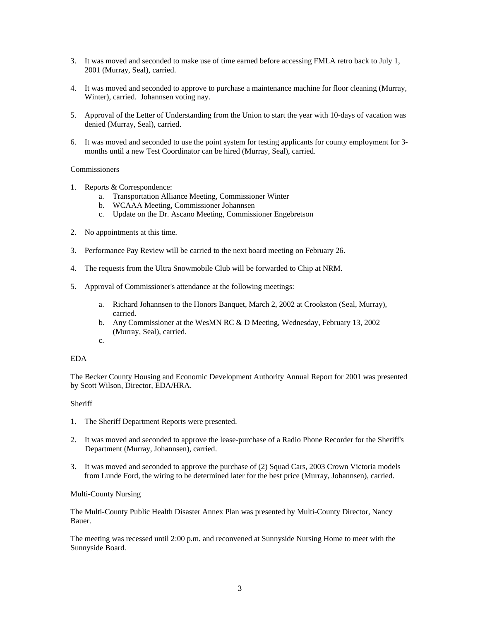- 3. It was moved and seconded to make use of time earned before accessing FMLA retro back to July 1, 2001 (Murray, Seal), carried.
- 4. It was moved and seconded to approve to purchase a maintenance machine for floor cleaning (Murray, Winter), carried. Johannsen voting nay.
- 5. Approval of the Letter of Understanding from the Union to start the year with 10-days of vacation was denied (Murray, Seal), carried.
- 6. It was moved and seconded to use the point system for testing applicants for county employment for 3 months until a new Test Coordinator can be hired (Murray, Seal), carried.

## **Commissioners**

- 1. Reports & Correspondence:
	- a. Transportation Alliance Meeting, Commissioner Winter
	- b. WCAAA Meeting, Commissioner Johannsen
	- c. Update on the Dr. Ascano Meeting, Commissioner Engebretson
- 2. No appointments at this time.
- 3. Performance Pay Review will be carried to the next board meeting on February 26.
- 4. The requests from the Ultra Snowmobile Club will be forwarded to Chip at NRM.
- 5. Approval of Commissioner's attendance at the following meetings:
	- a. Richard Johannsen to the Honors Banquet, March 2, 2002 at Crookston (Seal, Murray), carried.
	- b. Any Commissioner at the WesMN RC & D Meeting, Wednesday, February 13, 2002 (Murray, Seal), carried.
	- c.

# EDA

The Becker County Housing and Economic Development Authority Annual Report for 2001 was presented by Scott Wilson, Director, EDA/HRA.

### **Sheriff**

- 1. The Sheriff Department Reports were presented.
- 2. It was moved and seconded to approve the lease-purchase of a Radio Phone Recorder for the Sheriff's Department (Murray, Johannsen), carried.
- 3. It was moved and seconded to approve the purchase of (2) Squad Cars, 2003 Crown Victoria models from Lunde Ford, the wiring to be determined later for the best price (Murray, Johannsen), carried.

Multi-County Nursing

The Multi-County Public Health Disaster Annex Plan was presented by Multi-County Director, Nancy Bauer.

The meeting was recessed until 2:00 p.m. and reconvened at Sunnyside Nursing Home to meet with the Sunnyside Board.